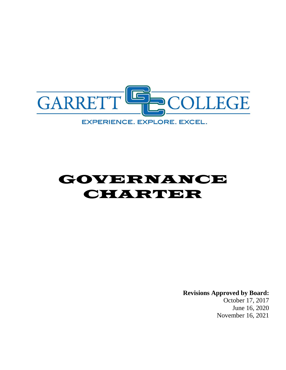

# GOVERNANCE **CHARDER**

**Revisions Approved by Board:** October 17, 2017 June 16, 2020 November 16, 2021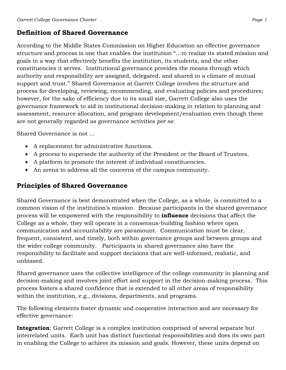## **Definition of Shared Governance**

According to the Middle States Commission on Higher Education an effective governance structure and process is one that enables the institution "…to realize its stated mission and goals in a way that effectively benefits the institution, its students, and the other constituencies it serves. Institutional governance provides the means through which authority and responsibility are assigned, delegated, and shared in a climate of mutual support and trust." Shared Governance at Garrett College involves the structure and process for developing, reviewing, recommending, and evaluating policies and procedures; however, for the sake of efficiency due to its small size, Garrett College also uses the governance framework to aid in institutional decision-making in relation to planning and assessment, resource allocation, and program development/evaluation even though these are not generally regarded as governance activities *per se*.

Shared Governance is not …

- A replacement for administrative functions.
- A process to supersede the authority of the President or the Board of Trustees.
- A platform to promote the interest of individual constituencies.
- An arena to address all the concerns of the campus community.

## **Principles of Shared Governance**

Shared Governance is best demonstrated when the College, as a whole, is committed to a common vision of the institution's mission. Because participants in the shared governance process will be empowered with the responsibility to **influence** decisions that affect the College as a whole, they will operate in a consensus-building fashion where open communication and accountability are paramount. Communication must be clear, frequent, consistent, and timely, both within governance groups and between groups and the wider college community. Participants in shared governance also have the responsibility to facilitate and support decisions that are well-informed, realistic, and unbiased.

Shared governance uses the collective intelligence of the college community in planning and decision-making and involves joint effort and support in the decision-making process. This process fosters a shared confidence that is extended to all other areas of responsibility within the institution, e.g., divisions, departments, and programs.

The following elements foster dynamic and cooperative interaction and are necessary for effective governance:

**Integration**: Garrett College is a complex institution comprised of several separate but interrelated units. Each unit has distinct functional responsibilities and does its own part in enabling the College to achieve its mission and goals. However, these units depend on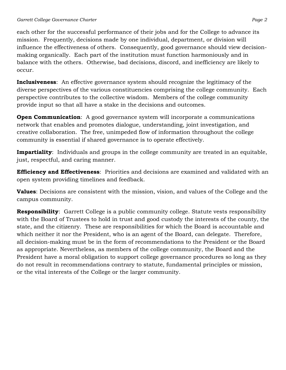each other for the successful performance of their jobs and for the College to advance its mission. Frequently, decisions made by one individual, department, or division will influence the effectiveness of others. Consequently, good governance should view decisionmaking organically. Each part of the institution must function harmoniously and in balance with the others. Otherwise, bad decisions, discord, and inefficiency are likely to occur.

**Inclusiveness**: An effective governance system should recognize the legitimacy of the diverse perspectives of the various constituencies comprising the college community. Each perspective contributes to the collective wisdom. Members of the college community provide input so that all have a stake in the decisions and outcomes.

**Open Communication**: A good governance system will incorporate a communications network that enables and promotes dialogue, understanding, joint investigation, and creative collaboration. The free, unimpeded flow of information throughout the college community is essential if shared governance is to operate effectively.

**Impartiality**: Individuals and groups in the college community are treated in an equitable, just, respectful, and caring manner.

**Efficiency and Effectiveness**: Priorities and decisions are examined and validated with an open system providing timelines and feedback.

**Values**: Decisions are consistent with the mission, vision, and values of the College and the campus community.

**Responsibility**: Garrett College is a public community college. Statute vests responsibility with the Board of Trustees to hold in trust and good custody the interests of the county, the state, and the citizenry. These are responsibilities for which the Board is accountable and which neither it nor the President, who is an agent of the Board, can delegate. Therefore, all decision-making must be in the form of recommendations to the President or the Board as appropriate. Nevertheless, as members of the college community, the Board and the President have a moral obligation to support college governance procedures so long as they do not result in recommendations contrary to statute, fundamental principles or mission, or the vital interests of the College or the larger community.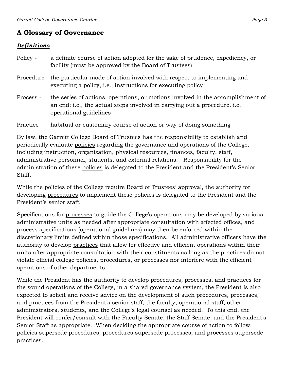# **A Glossary of Governance**

## *Definitions*

- Policy a definite course of action adopted for the sake of prudence, expediency, or facility (must be approved by the Board of Trustees)
- Procedure the particular mode of action involved with respect to implementing and executing a policy, i.e., instructions for executing policy
- Process the series of actions, operations, or motions involved in the accomplishment of an end; i.e., the actual steps involved in carrying out a procedure, i.e., operational guidelines

Practice - habitual or customary course of action or way of doing something

By law, the Garrett College Board of Trustees has the responsibility to establish and periodically evaluate policies regarding the governance and operations of the College, including instruction, organization, physical resources, finances, faculty, staff, administrative personnel, students, and external relations. Responsibility for the administration of these policies is delegated to the President and the President's Senior Staff.

While the policies of the College require Board of Trustees' approval, the authority for developing procedures to implement these policies is delegated to the President and the President's senior staff.

Specifications for processes to guide the College's operations may be developed by various administrative units as needed after appropriate consultation with affected offices, and process specifications (operational guidelines) may then be enforced within the discretionary limits defined within those specifications. All administrative officers have the authority to develop practices that allow for effective and efficient operations within their units after appropriate consultation with their constituents as long as the practices do not violate official college policies, procedures, or processes nor interfere with the efficient operations of other departments.

While the President has the authority to develop procedures, processes, and practices for the sound operations of the College, in a shared governance system, the President is also expected to solicit and receive advice on the development of such procedures, processes, and practices from the President's senior staff, the faculty, operational staff, other administrators, students, and the College's legal counsel as needed. To this end, the President will confer/consult with the Faculty Senate, the Staff Senate, and the President's Senior Staff as appropriate. When deciding the appropriate course of action to follow, policies supersede procedures, procedures supersede processes, and processes supersede practices.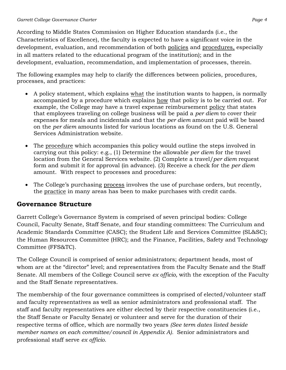According to Middle States Commission on Higher Education standards (i.e., the Characteristics of Excellence), the faculty is expected to have a significant voice in the development, evaluation, and recommendation of both policies and procedures, especially in all matters related to the educational program of the institution); and in the development, evaluation, recommendation, and implementation of processes, therein.

The following examples may help to clarify the differences between policies, procedures, processes, and practices:

- A policy statement, which explains what the institution wants to happen, is normally accompanied by a procedure which explains how that policy is to be carried out. For example, the College may have a travel expense reimbursement policy that states that employees traveling on college business will be paid a *per diem* to cover their expenses for meals and incidentals and that the *per diem* amount paid will be based on the *per diem* amounts listed for various locations as found on the U.S. General Services Administration website.
- The procedure which accompanies this policy would outline the steps involved in carrying out this policy: e.g., (1) Determine the allowable *per diem* for the travel location from the General Services website. (2) Complete a travel/*per diem* request form and submit it for approval (in advance). (3) Receive a check for the *per diem* amount. With respect to processes and procedures:
- The College's purchasing process involves the use of purchase orders, but recently, the practice in many areas has been to make purchases with credit cards.

## **Governance Structure**

Garrett College's Governance System is comprised of seven principal bodies: College Council, Faculty Senate, Staff Senate, and four standing committees: The Curriculum and Academic Standards Committee (CASC); the Student Life and Services Committee (SL&SC); the Human Resources Committee (HRC); and the Finance, Facilities, Safety and Technology Committee (FFS&TC).

The College Council is comprised of senior administrators; department heads, most of whom are at the "director" level; and representatives from the Faculty Senate and the Staff Senate. All members of the College Council serve *ex officio,* with the exception of the Faculty and the Staff Senate representatives.

The membership of the four governance committees is comprised of elected/volunteer staff and faculty representatives as well as senior administrators and professional staff. The staff and faculty representatives are either elected by their respective constituencies (i.e., the Staff Senate or Faculty Senate) or volunteer and serve for the duration of their respective terms of office, which are normally two years *(See term dates listed beside member names on each committee/council in Appendix A).* Senior administrators and professional staff serve *ex officio.*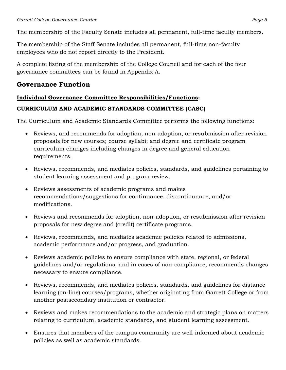The membership of the Faculty Senate includes all permanent, full-time faculty members.

The membership of the Staff Senate includes all permanent, full-time non-faculty employees who do not report directly to the President.

A complete listing of the membership of the College Council and for each of the four governance committees can be found in Appendix A.

### **Governance Function**

#### **Individual Governance Committee Responsibilities/Functions:**

#### **CURRICULUM AND ACADEMIC STANDARDS COMMITTEE (CASC)**

The Curriculum and Academic Standards Committee performs the following functions:

- Reviews, and recommends for adoption, non-adoption, or resubmission after revision proposals for new courses; course syllabi; and degree and certificate program curriculum changes including changes in degree and general education requirements.
- Reviews, recommends, and mediates policies, standards, and guidelines pertaining to student learning assessment and program review.
- Reviews assessments of academic programs and makes recommendations/suggestions for continuance, discontinuance, and/or modifications.
- Reviews and recommends for adoption, non-adoption, or resubmission after revision proposals for new degree and (credit) certificate programs.
- Reviews, recommends, and mediates academic policies related to admissions, academic performance and/or progress, and graduation.
- Reviews academic policies to ensure compliance with state, regional, or federal guidelines and/or regulations, and in cases of non-compliance, recommends changes necessary to ensure compliance.
- Reviews, recommends, and mediates policies, standards, and guidelines for distance learning (on-line) courses/programs, whether originating from Garrett College or from another postsecondary institution or contractor.
- Reviews and makes recommendations to the academic and strategic plans on matters relating to curriculum, academic standards, and student learning assessment.
- Ensures that members of the campus community are well-informed about academic policies as well as academic standards.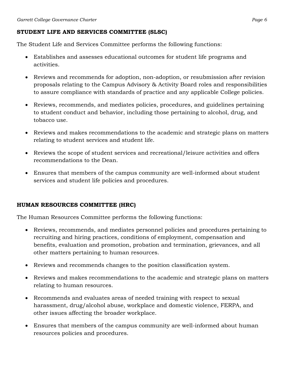#### **STUDENT LIFE AND SERVICES COMMITTEE (SLSC)**

The Student Life and Services Committee performs the following functions:

- Establishes and assesses educational outcomes for student life programs and activities.
- Reviews and recommends for adoption, non-adoption, or resubmission after revision proposals relating to the Campus Advisory & Activity Board roles and responsibilities to assure compliance with standards of practice and any applicable College policies.
- Reviews, recommends, and mediates policies, procedures, and guidelines pertaining to student conduct and behavior, including those pertaining to alcohol, drug, and tobacco use.
- Reviews and makes recommendations to the academic and strategic plans on matters relating to student services and student life.
- Reviews the scope of student services and recreational/leisure activities and offers recommendations to the Dean.
- Ensures that members of the campus community are well-informed about student services and student life policies and procedures.

#### **HUMAN RESOURCES COMMITTEE (HRC)**

The Human Resources Committee performs the following functions:

- Reviews, recommends, and mediates personnel policies and procedures pertaining to recruiting and hiring practices, conditions of employment, compensation and benefits, evaluation and promotion, probation and termination, grievances, and all other matters pertaining to human resources.
- Reviews and recommends changes to the position classification system.
- Reviews and makes recommendations to the academic and strategic plans on matters relating to human resources.
- Recommends and evaluates areas of needed training with respect to sexual harassment, drug/alcohol abuse, workplace and domestic violence, FERPA, and other issues affecting the broader workplace.
- Ensures that members of the campus community are well-informed about human resources policies and procedures.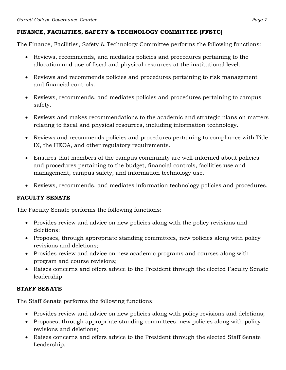#### **FINANCE, FACILITIES, SAFETY & TECHNOLOGY COMMITTEE (FFSTC)**

The Finance, Facilities, Safety & Technology Committee performs the following functions:

- Reviews, recommends, and mediates policies and procedures pertaining to the allocation and use of fiscal and physical resources at the institutional level.
- Reviews and recommends policies and procedures pertaining to risk management and financial controls.
- Reviews, recommends, and mediates policies and procedures pertaining to campus safety.
- Reviews and makes recommendations to the academic and strategic plans on matters relating to fiscal and physical resources, including information technology.
- Reviews and recommends policies and procedures pertaining to compliance with Title IX, the HEOA, and other regulatory requirements.
- Ensures that members of the campus community are well-informed about policies and procedures pertaining to the budget, financial controls, facilities use and management, campus safety, and information technology use.
- Reviews, recommends, and mediates information technology policies and procedures.

#### **FACULTY SENATE**

The Faculty Senate performs the following functions:

- Provides review and advice on new policies along with the policy revisions and deletions;
- Proposes, through appropriate standing committees, new policies along with policy revisions and deletions;
- Provides review and advice on new academic programs and courses along with program and course revisions;
- Raises concerns and offers advice to the President through the elected Faculty Senate leadership.

#### **STAFF SENATE**

The Staff Senate performs the following functions:

- Provides review and advice on new policies along with policy revisions and deletions;
- Proposes, through appropriate standing committees, new policies along with policy revisions and deletions;
- Raises concerns and offers advice to the President through the elected Staff Senate Leadership.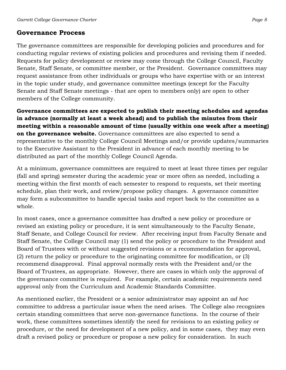# **Governance Process**

The governance committees are responsible for developing policies and procedures and for conducting regular reviews of existing policies and procedures and revising them if needed. Requests for policy development or review may come through the College Council, Faculty Senate, Staff Senate, or committee member, or the President. Governance committees may request assistance from other individuals or groups who have expertise with or an interest in the topic under study, and governance committee meetings (except for the Faculty Senate and Staff Senate meetings - that are open to members only) are open to other members of the College community.

**Governance committees are expected to publish their meeting schedules and agendas in advance (normally at least a week ahead) and to publish the minutes from their meeting within a reasonable amount of time (usually within one week after a meeting) on the governance website.** Governance committees are also expected to send a representative to the monthly College Council Meetings and/or provide updates/summaries to the Executive Assistant to the President in advance of each monthly meeting to be distributed as part of the monthly College Council Agenda.

At a minimum, governance committees are required to meet at least three times per regular (fall and spring) semester during the academic year or more often as needed, including a meeting within the first month of each semester to respond to requests, set their meeting schedule, plan their work, and review/propose policy changes. A governance committee may form a subcommittee to handle special tasks and report back to the committee as a whole.

In most cases, once a governance committee has drafted a new policy or procedure or revised an existing policy or procedure, it is sent simultaneously to the Faculty Senate, Staff Senate, and College Council for review. After receiving input from Faculty Senate and Staff Senate, the College Council may (1) send the policy or procedure to the President and Board of Trustees with or without suggested revisions or a recommendation for approval, (2) return the policy or procedure to the originating committee for modification, or (3) recommend disapproval. Final approval normally rests with the President and/or the Board of Trustees, as appropriate. However, there are cases in which only the approval of the governance committee is required. For example, certain academic requirements need approval only from the Curriculum and Academic Standards Committee.

As mentioned earlier, the President or a senior administrator may appoint an *ad hoc* committee to address a particular issue when the need arises. The College also recognizes certain standing committees that serve non-governance functions. In the course of their work, these committees sometimes identify the need for revisions to an existing policy or procedure, or the need for development of a new policy, and in some cases, they may even draft a revised policy or procedure or propose a new policy for consideration. In such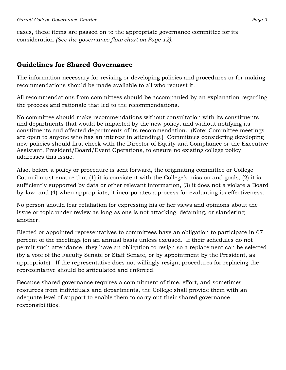cases, these items are passed on to the appropriate governance committee for its consideration *(See the governance flow chart on Page 12).*

## **Guidelines for Shared Governance**

The information necessary for revising or developing policies and procedures or for making recommendations should be made available to all who request it.

All recommendations from committees should be accompanied by an explanation regarding the process and rationale that led to the recommendations.

No committee should make recommendations without consultation with its constituents and departments that would be impacted by the new policy, and without notifying its constituents and affected departments of its recommendation. (Note: Committee meetings are open to anyone who has an interest in attending.) Committees considering developing new policies should first check with the Director of Equity and Compliance or the Executive Assistant, President/Board/Event Operations, to ensure no existing college policy addresses this issue.

Also, before a policy or procedure is sent forward, the originating committee or College Council must ensure that (1) it is consistent with the College's mission and goals, (2) it is sufficiently supported by data or other relevant information, (3) it does not a violate a Board by-law, and (4) when appropriate, it incorporates a process for evaluating its effectiveness.

No person should fear retaliation for expressing his or her views and opinions about the issue or topic under review as long as one is not attacking, defaming, or slandering another.

Elected or appointed representatives to committees have an obligation to participate in 67 percent of the meetings (on an annual basis unless excused. If their schedules do not permit such attendance, they have an obligation to resign so a replacement can be selected (by a vote of the Faculty Senate or Staff Senate, or by appointment by the President, as appropriate). If the representative does not willingly resign, procedures for replacing the representative should be articulated and enforced.

Because shared governance requires a commitment of time, effort, and sometimes resources from individuals and departments, the College shall provide them with an adequate level of support to enable them to carry out their shared governance responsibilities.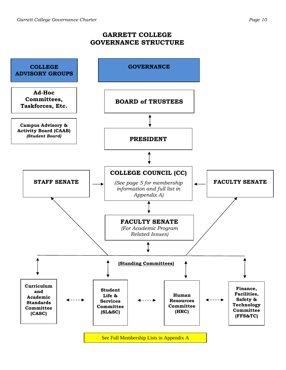#### **GARRETT COLLEGE GOVERNANCE STRUCTURE**

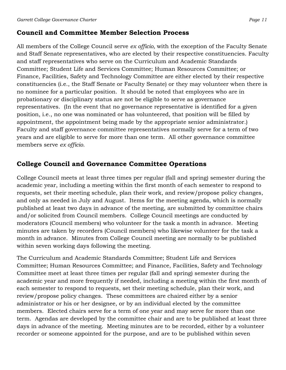## **Council and Committee Member Selection Process**

All members of the College Council serve *ex officio,* with the exception of the Faculty Senate and Staff Senate representatives, who are elected by their respective constituencies. Faculty and staff representatives who serve on the Curriculum and Academic Standards Committee; Student Life and Services Committee; Human Resources Committee; or Finance, Facilities, Safety and Technology Committee are either elected by their respective constituencies (i.e., the Staff Senate or Faculty Senate) or they may volunteer when there is no nominee for a particular position. It should be noted that employees who are in probationary or disciplinary status are not be eligible to serve as governance representatives. (In the event that no governance representative is identified for a given position, i.e., no one was nominated or has volunteered, that position will be filled by appointment, the appointment being made by the appropriate senior administrator.) Faculty and staff governance committee representatives normally serve for a term of two years and are eligible to serve for more than one term. All other governance committee members serve *ex officio.*

## **College Council and Governance Committee Operations**

College Council meets at least three times per regular (fall and spring) semester during the academic year, including a meeting within the first month of each semester to respond to requests, set their meeting schedule, plan their work, and review/propose policy changes, and only as needed in July and August. Items for the meeting agenda, which is normally published at least two days in advance of the meeting, are submitted by committee chairs and/or solicited from Council members. College Council meetings are conducted by moderators (Council members) who volunteer for the task a month in advance. Meeting minutes are taken by recorders (Council members) who likewise volunteer for the task a month in advance. Minutes from College Council meeting are normally to be published within seven working days following the meeting.

The Curriculum and Academic Standards Committee; Student Life and Services Committee; Human Resources Committee; and Finance, Facilities, Safety and Technology Committee meet at least three times per regular (fall and spring) semester during the academic year and more frequently if needed, including a meeting within the first month of each semester to respond to requests, set their meeting schedule, plan their work, and review/propose policy changes. These committees are chaired either by a senior administrator or his or her designee, or by an individual elected by the committee members. Elected chairs serve for a term of one year and may serve for more than one term. Agendas are developed by the committee chair and are to be published at least three days in advance of the meeting. Meeting minutes are to be recorded, either by a volunteer recorder or someone appointed for the purpose, and are to be published within seven